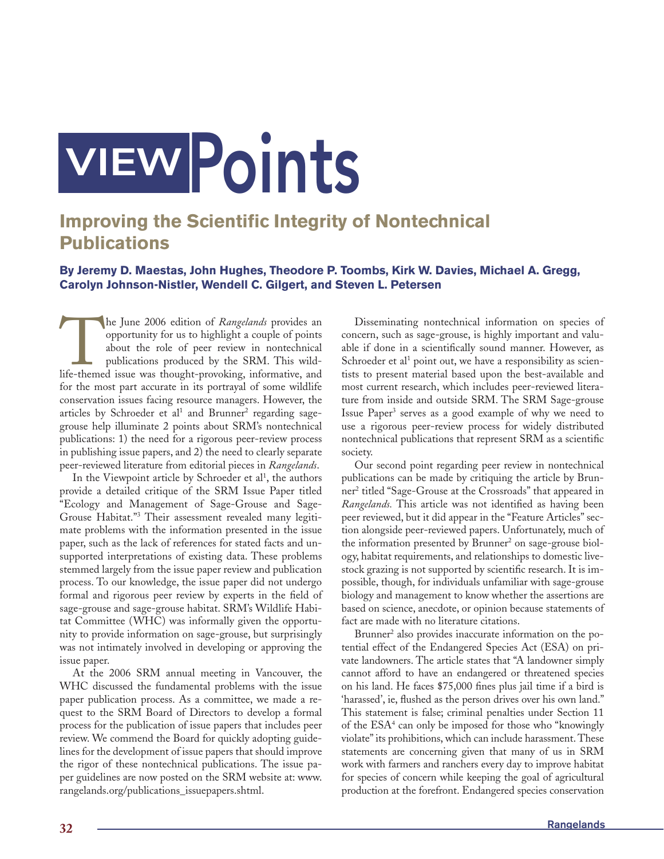## VIEWPoints

## **Improving the Scientific Integrity of Nontechnical Publications**

## **By Jeremy D. Maestas, John Hughes, Theodore P. Toombs, Kirk W. Davies, Michael A. Gregg, Carolyn Johnson-Nistler, Wendell C. Gilgert, and Steven L. Petersen**

The June 2006 edition of *Rangelands* provides an opportunity for us to highlight a couple of points about the role of peer review in nontechnical publications produced by the SRM. This wild-life-themed issue was thought-p opportunity for us to highlight a couple of points about the role of peer review in nontechnical publications produced by the SRM. This wildlife-themed issue was thought-provoking, informative, and for the most part accurate in its portrayal of some wildlife conservation issues facing resource managers. However, the articles by Schroeder et al<sup>1</sup> and Brunner<sup>2</sup> regarding sagegrouse help illuminate 2 points about SRM's nontechnical publications: 1) the need for a rigorous peer-review process in publishing issue papers, and 2) the need to clearly separate peer-reviewed literature from editorial pieces in *Rangelands*.

In the Viewpoint article by Schroeder et al<sup>1</sup>, the authors provide a detailed critique of the SRM Issue Paper titled "Ecology and Management of Sage-Grouse and Sage-Grouse Habitat."3 Their assessment revealed many legitimate problems with the information presented in the issue paper, such as the lack of references for stated facts and unsupported interpretations of existing data. These problems stemmed largely from the issue paper review and publication process. To our knowledge, the issue paper did not undergo formal and rigorous peer review by experts in the field of sage-grouse and sage-grouse habitat. SRM's Wildlife Habitat Committee (WHC) was informally given the opportunity to provide information on sage-grouse, but surprisingly was not intimately involved in developing or approving the issue paper.

At the 2006 SRM annual meeting in Vancouver, the WHC discussed the fundamental problems with the issue paper publication process. As a committee, we made a request to the SRM Board of Directors to develop a formal process for the publication of issue papers that includes peer review. We commend the Board for quickly adopting guidelines for the development of issue papers that should improve the rigor of these nontechnical publications. The issue paper guidelines are now posted on the SRM website at: www. rangelands.org/publications\_issuepapers.shtml.

Disseminating nontechnical information on species of concern, such as sage-grouse, is highly important and valuable if done in a scientifically sound manner. However, as Schroeder et al<sup>1</sup> point out, we have a responsibility as scientists to present material based upon the best-available and most current research, which includes peer-reviewed literature from inside and outside SRM. The SRM Sage-grouse Issue Paper<sup>3</sup> serves as a good example of why we need to use a rigorous peer-review process for widely distributed nontechnical publications that represent SRM as a scientific society.

Our second point regarding peer review in nontechnical publications can be made by critiquing the article by Brunner2 titled "Sage-Grouse at the Crossroads" that appeared in *Rangelands*. This article was not identified as having been peer reviewed, but it did appear in the "Feature Articles" section alongside peer-reviewed papers. Unfortunately, much of the information presented by Brunner<sup>2</sup> on sage-grouse biology, habitat requirements, and relationships to domestic livestock grazing is not supported by scientific research. It is impossible, though, for individuals unfamiliar with sage-grouse biology and management to know whether the assertions are based on science, anecdote, or opinion because statements of fact are made with no literature citations.

Brunner<sup>2</sup> also provides inaccurate information on the potential effect of the Endangered Species Act (ESA) on private landowners. The article states that "A landowner simply cannot afford to have an endangered or threatened species on his land. He faces \$75,000 fines plus jail time if a bird is 'harassed', ie, flushed as the person drives over his own land." This statement is false; criminal penalties under Section 11 of the ESA4 can only be imposed for those who "knowingly violate" its prohibitions, which can include harassment. These statements are concerning given that many of us in SRM work with farmers and ranchers every day to improve habitat for species of concern while keeping the goal of agricultural production at the forefront. Endangered species conservation